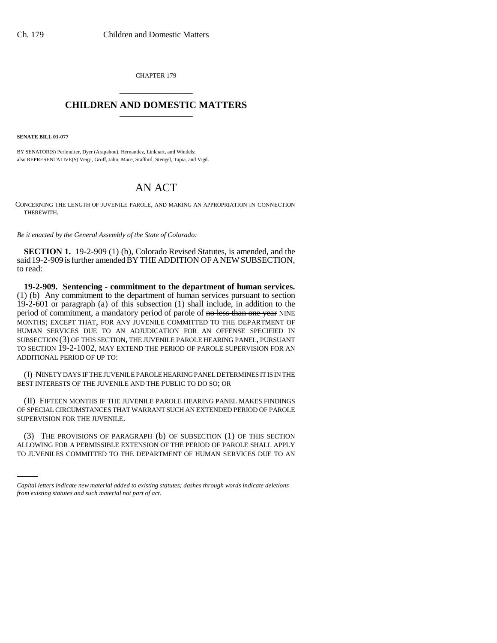CHAPTER 179 \_\_\_\_\_\_\_\_\_\_\_\_\_\_\_

## **CHILDREN AND DOMESTIC MATTERS** \_\_\_\_\_\_\_\_\_\_\_\_\_\_\_

**SENATE BILL 01-077**

BY SENATOR(S) Perlmutter, Dyer (Arapahoe), Hernandez, Linkhart, and Windels; also REPRESENTATIVE(S) Veiga, Groff, Jahn, Mace, Stafford, Stengel, Tapia, and Vigil.

## AN ACT

CONCERNING THE LENGTH OF JUVENILE PAROLE, AND MAKING AN APPROPRIATION IN CONNECTION THEREWITH.

*Be it enacted by the General Assembly of the State of Colorado:*

**SECTION 1.** 19-2-909 (1) (b), Colorado Revised Statutes, is amended, and the said 19-2-909 is further amended BY THE ADDITION OF A NEW SUBSECTION, to read:

**19-2-909. Sentencing - commitment to the department of human services.** (1) (b) Any commitment to the department of human services pursuant to section 19-2-601 or paragraph (a) of this subsection (1) shall include, in addition to the period of commitment, a mandatory period of parole of no less than one year NINE MONTHS; EXCEPT THAT, FOR ANY JUVENILE COMMITTED TO THE DEPARTMENT OF HUMAN SERVICES DUE TO AN ADJUDICATION FOR AN OFFENSE SPECIFIED IN SUBSECTION (3) OF THIS SECTION, THE JUVENILE PAROLE HEARING PANEL, PURSUANT TO SECTION 19-2-1002, MAY EXTEND THE PERIOD OF PAROLE SUPERVISION FOR AN ADDITIONAL PERIOD OF UP TO:

(I) NINETY DAYS IF THE JUVENILE PAROLE HEARING PANEL DETERMINES IT IS IN THE BEST INTERESTS OF THE JUVENILE AND THE PUBLIC TO DO SO; OR

(II) FIFTEEN MONTHS IF THE JUVENILE PAROLE HEARING PANEL MAKES FINDINGS OF SPECIAL CIRCUMSTANCES THAT WARRANT SUCH AN EXTENDED PERIOD OF PAROLE SUPERVISION FOR THE JUVENILE.

(3) THE PROVISIONS OF PARAGRAPH (b) OF SUBSECTION (1) OF THIS SECTION ALLOWING FOR A PERMISSIBLE EXTENSION OF THE PERIOD OF PAROLE SHALL APPLY TO JUVENILES COMMITTED TO THE DEPARTMENT OF HUMAN SERVICES DUE TO AN

*Capital letters indicate new material added to existing statutes; dashes through words indicate deletions from existing statutes and such material not part of act.*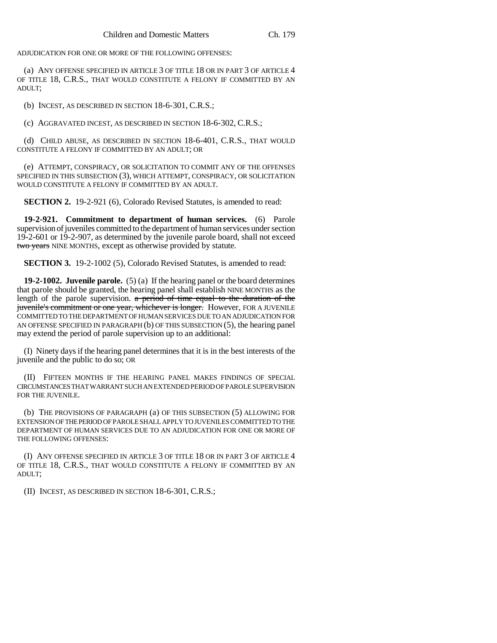ADJUDICATION FOR ONE OR MORE OF THE FOLLOWING OFFENSES:

(a) ANY OFFENSE SPECIFIED IN ARTICLE 3 OF TITLE 18 OR IN PART 3 OF ARTICLE 4 OF TITLE 18, C.R.S., THAT WOULD CONSTITUTE A FELONY IF COMMITTED BY AN ADULT;

(b) INCEST, AS DESCRIBED IN SECTION 18-6-301, C.R.S.;

(c) AGGRAVATED INCEST, AS DESCRIBED IN SECTION 18-6-302, C.R.S.;

(d) CHILD ABUSE, AS DESCRIBED IN SECTION 18-6-401, C.R.S., THAT WOULD CONSTITUTE A FELONY IF COMMITTED BY AN ADULT; OR

(e) ATTEMPT, CONSPIRACY, OR SOLICITATION TO COMMIT ANY OF THE OFFENSES SPECIFIED IN THIS SUBSECTION (3), WHICH ATTEMPT, CONSPIRACY, OR SOLICITATION WOULD CONSTITUTE A FELONY IF COMMITTED BY AN ADULT.

**SECTION 2.** 19-2-921 (6), Colorado Revised Statutes, is amended to read:

**19-2-921. Commitment to department of human services.** (6) Parole supervision of juveniles committed to the department of human services under section 19-2-601 or 19-2-907, as determined by the juvenile parole board, shall not exceed two years NINE MONTHS, except as otherwise provided by statute.

**SECTION 3.** 19-2-1002 (5), Colorado Revised Statutes, is amended to read:

**19-2-1002. Juvenile parole.** (5) (a) If the hearing panel or the board determines that parole should be granted, the hearing panel shall establish NINE MONTHS as the length of the parole supervision. a period of time equal to the duration of the juvenile's commitment or one year, whichever is longer. However, FOR A JUVENILE COMMITTED TO THE DEPARTMENT OF HUMAN SERVICES DUE TO AN ADJUDICATION FOR AN OFFENSE SPECIFIED IN PARAGRAPH (b) OF THIS SUBSECTION (5), the hearing panel may extend the period of parole supervision up to an additional:

(I) Ninety days if the hearing panel determines that it is in the best interests of the juvenile and the public to do so; OR

(II) FIFTEEN MONTHS IF THE HEARING PANEL MAKES FINDINGS OF SPECIAL CIRCUMSTANCES THAT WARRANT SUCH AN EXTENDED PERIOD OF PAROLE SUPERVISION FOR THE JUVENILE.

(b) THE PROVISIONS OF PARAGRAPH (a) OF THIS SUBSECTION (5) ALLOWING FOR EXTENSION OF THE PERIOD OF PAROLE SHALL APPLY TO JUVENILES COMMITTED TO THE DEPARTMENT OF HUMAN SERVICES DUE TO AN ADJUDICATION FOR ONE OR MORE OF THE FOLLOWING OFFENSES:

(I) ANY OFFENSE SPECIFIED IN ARTICLE 3 OF TITLE 18 OR IN PART 3 OF ARTICLE 4 OF TITLE 18, C.R.S., THAT WOULD CONSTITUTE A FELONY IF COMMITTED BY AN ADULT;

(II) INCEST, AS DESCRIBED IN SECTION 18-6-301, C.R.S.;